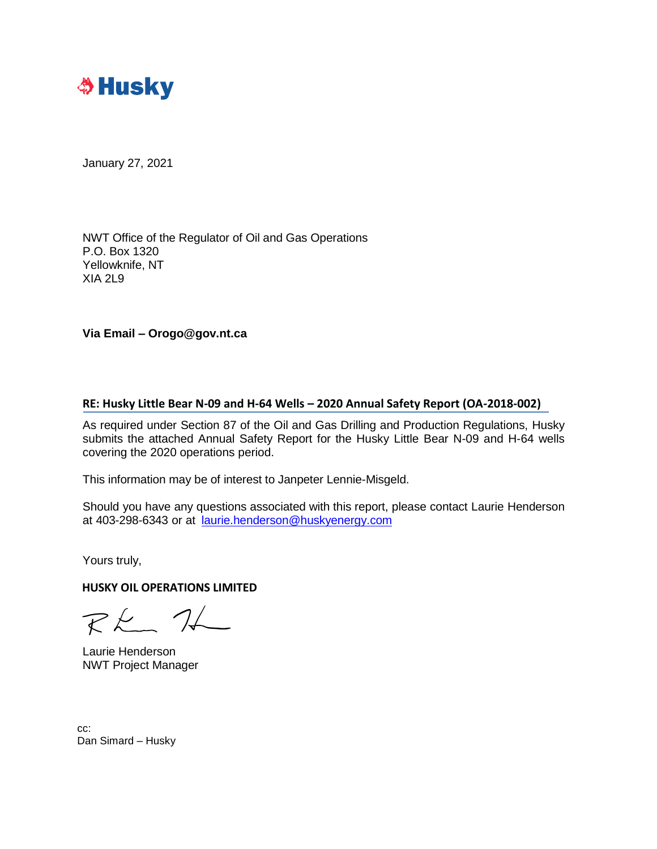

January 27, 2021

NWT Office of the Regulator of Oil and Gas Operations P.O. Box 1320 Yellowknife, NT XIA 2L9

**Via Email – Orogo@gov.nt.ca**

## **RE: Husky Little Bear N-09 and H-64 Wells – 2020 Annual Safety Report (OA-2018-002)**

As required under Section 87 of the Oil and Gas Drilling and Production Regulations, Husky submits the attached Annual Safety Report for the Husky Little Bear N-09 and H-64 wells covering the 2020 operations period.

This information may be of interest to Janpeter Lennie-Misgeld.

Should you have any questions associated with this report, please contact Laurie Henderson at 403-298-6343 or at [laurie.henderson@huskyenergy.com](mailto:laurie.henderson@huskyenergy.com)

Yours truly,

**HUSKY OIL OPERATIONS LIMITED**

 $RK$  1

Laurie Henderson NWT Project Manager

cc: Dan Simard – Husky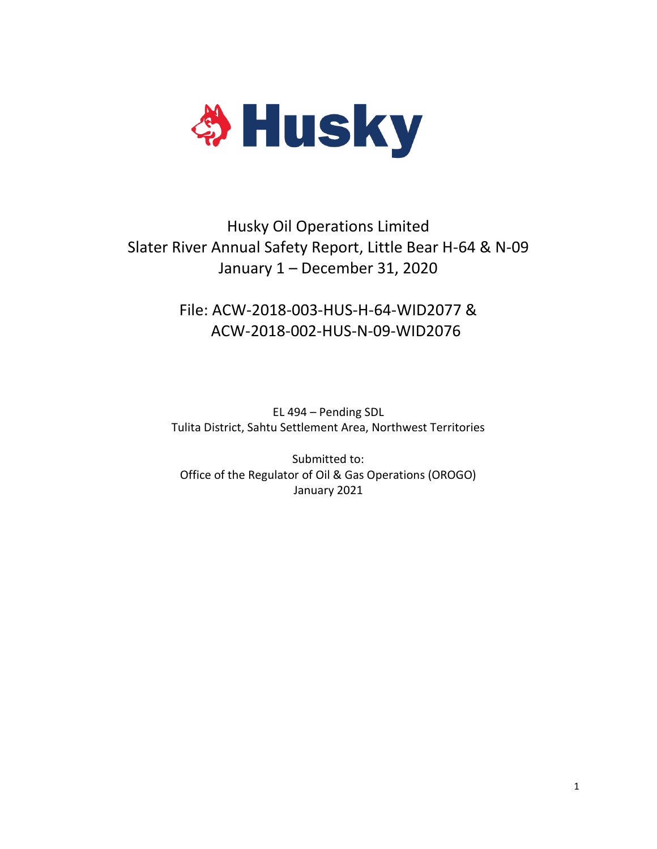

# Husky Oil Operations Limited Slater River Annual Safety Report, Little Bear H-64 & N-09 January 1 – December 31, 2020

## File: ACW-2018-003-HUS-H-64-WID2077 & ACW-2018-002-HUS-N-09-WID2076

EL 494 – Pending SDL Tulita District, Sahtu Settlement Area, Northwest Territories

Submitted to: Office of the Regulator of Oil & Gas Operations (OROGO) January 2021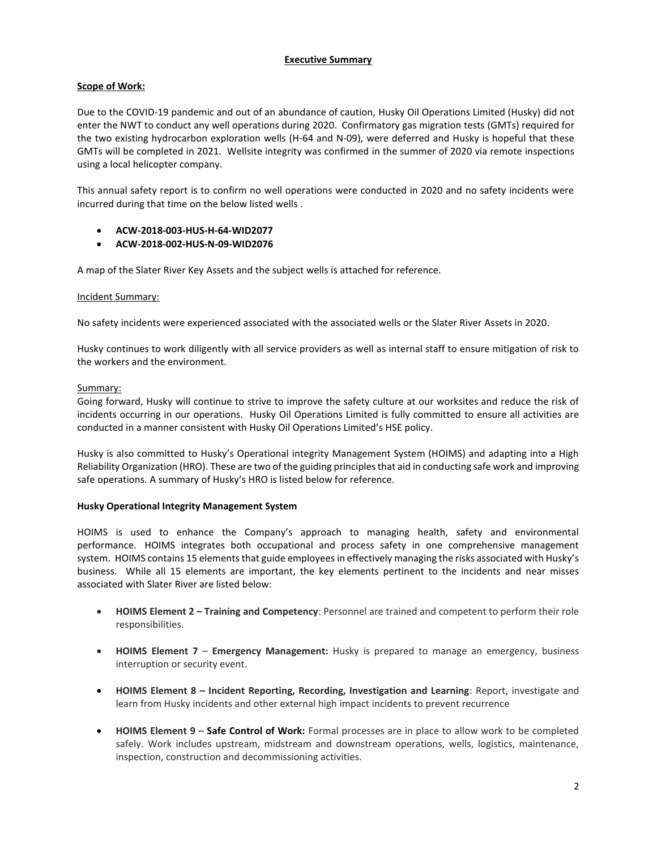## **Executive Summary**

## **Scope of Work:**

Due to the COVID-19 pandemic and out of an abundance of caution, Husky Oil Operations Limited (Husky) did not enter the NWT to conduct any well operations during 2020. Confirmatory gas migration tests (GMTs) required for the two existing hydrocarbon exploration wells (H-64 and N-09), were deferred and Husky is hopeful that these GMTs will be completed in 2021. Wellsite integrity was confirmed in the summer of 2020 via remote inspections using a local helicopter company.

This annual safety report is to confirm no well operations were conducted in 2020 and no safety incidents were incurred during that time on the below listed wells .

- **ACW-2018-003-HUS-H-64-WID2077**
- **ACW-2018-002-HUS-N-09-WID2076**

A map of the Slater River Key Assets and the subject wells is attached for reference.

### Incident Summary:

No safety incidents were experienced associated with the associated wells or the Slater River Assets in 2020.

Husky continues to work diligently with all service providers as well as internal staff to ensure mitigation of risk to the workers and the environment.

### Summary:

Going forward, Husky will continue to strive to improve the safety culture at our worksites and reduce the risk of incidents occurring in our operations. Husky Oil Operations Limited is fully committed to ensure all activities are conducted in a manner consistent with Husky Oil Operations Limited's HSE policy.

Husky is also committed to Husky's Operational integrity Management System (HOIMS) and adapting into a High Reliability Organization (HRO). These are two of the guiding principles that aid in conducting safe work and improving safe operations. A summary of Husky's HRO is listed below for reference.

## **Husky Operational Integrity Management System**

HOIMS is used to enhance the Company's approach to managing health, safety and environmental performance. HOIMS integrates both occupational and process safety in one comprehensive management system. HOIMS contains 15 elements that guide employees in effectively managing the risks associated with Husky's business. While all 15 elements are important, the key elements pertinent to the incidents and near misses associated with Slater River are listed below:

- **HOIMS Element 2 – Training and Competency**: Personnel are trained and competent to perform their role responsibilities.
- **HOIMS Element 7 Emergency Management:** Husky is prepared to manage an emergency, business interruption or security event.
- **HOIMS Element 8 – Incident Reporting, Recording, Investigation and Learning**: Report, investigate and learn from Husky incidents and other external high impact incidents to prevent recurrence
- **HOIMS Element 9 Safe Control of Work:** Formal processes are in place to allow work to be completed safely. Work includes upstream, midstream and downstream operations, wells, logistics, maintenance, inspection, construction and decommissioning activities.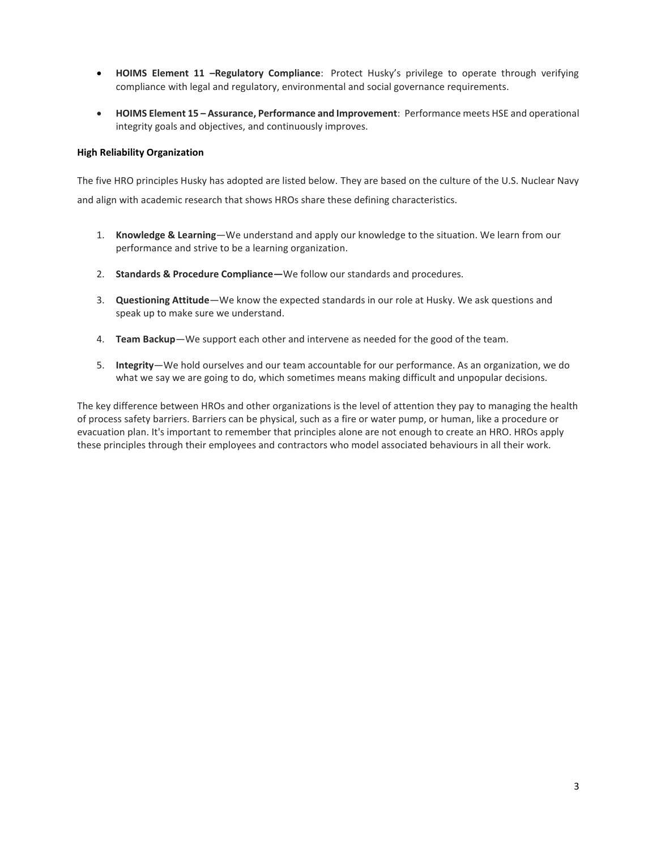- **HOIMS Element 11 –Regulatory Compliance**: Protect Husky's privilege to operate through verifying compliance with legal and regulatory, environmental and social governance requirements.
- **HOIMS Element 15 – Assurance, Performance and Improvement**: Performance meets HSE and operational integrity goals and objectives, and continuously improves.

### **High Reliability Organization**

The five HRO principles Husky has adopted are listed below. They are based on the culture of the U.S. Nuclear Navy and align with academic research that shows HROs share these defining characteristics.

- 1. **Knowledge & Learning**—We understand and apply our knowledge to the situation. We learn from our performance and strive to be a learning organization.
- 2. **Standards & Procedure Compliance—**We follow our standards and procedures.
- 3. **Questioning Attitude**—We know the expected standards in our role at Husky. We ask questions and speak up to make sure we understand.
- 4. **Team Backup**—We support each other and intervene as needed for the good of the team.
- 5. **Integrity**—We hold ourselves and our team accountable for our performance. As an organization, we do what we say we are going to do, which sometimes means making difficult and unpopular decisions.

The key difference between HROs and other organizations is the level of attention they pay to managing the health of process safety barriers. Barriers can be physical, such as a fire or water pump, or human, like a procedure or evacuation plan. It's important to remember that principles alone are not enough to create an HRO. HROs apply these principles through their employees and contractors who model associated behaviours in all their work.